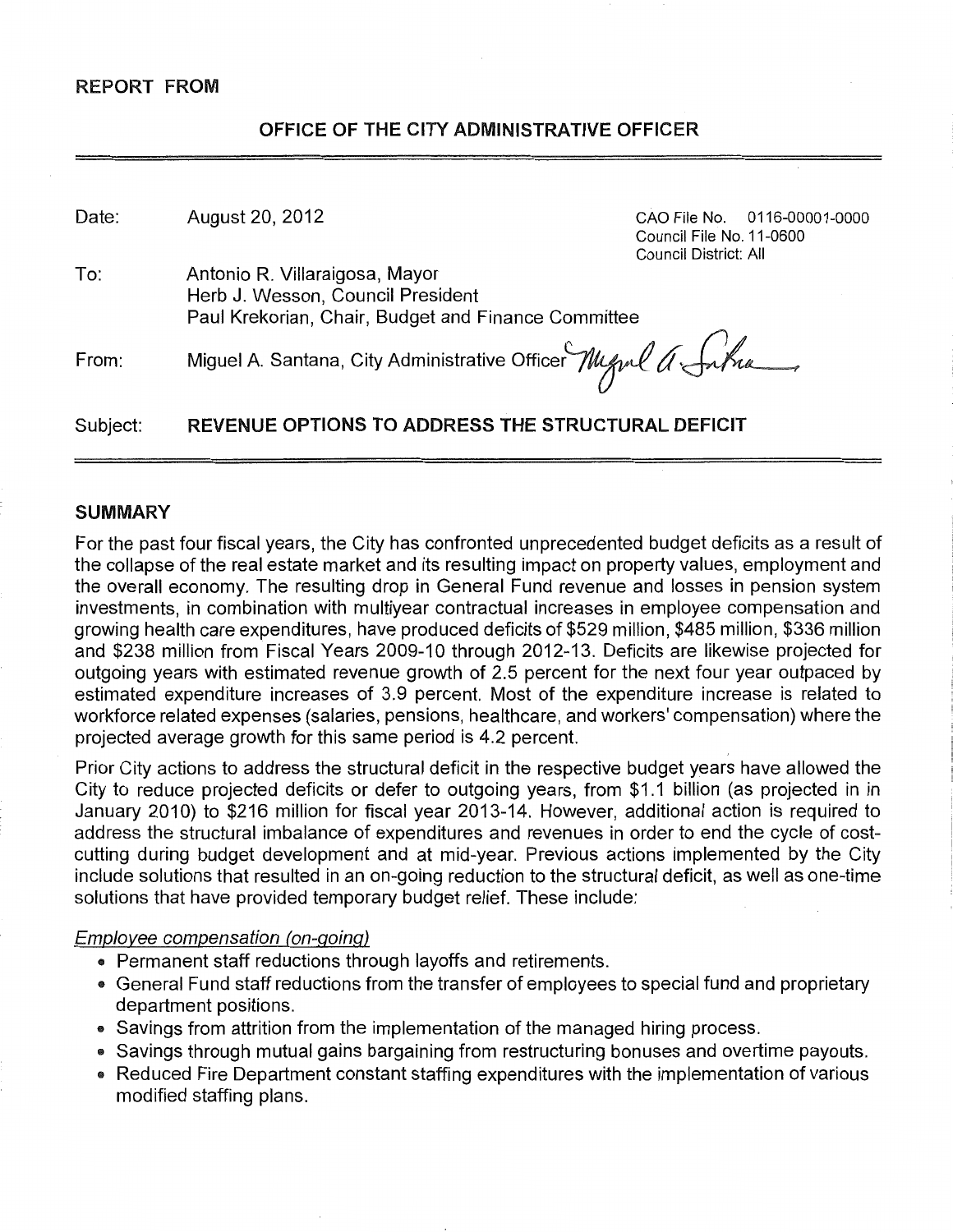### REPORT FROM

## OFFICE OF **THE** CITY ADMINISTRATIVE OFFICER

| Date:    | August 20, 2012                                                                                                            | Council File No. 11-0600<br>Council District: All | CAO File No. 0116-00001-0000 |
|----------|----------------------------------------------------------------------------------------------------------------------------|---------------------------------------------------|------------------------------|
| To:      | Antonio R. Villaraigosa, Mayor<br>Herb J. Wesson, Council President<br>Paul Krekorian, Chair, Budget and Finance Committee |                                                   |                              |
| From:    | Miguel A. Santana, City Administrative Officer Mynl a Sinha                                                                |                                                   |                              |
| Subject: | <b>REVENUE OPTIONS TO ADDRESS THE STRUCTURAL DEFICIT</b>                                                                   |                                                   |                              |

#### SUMMARY

For the past four fiscal years, the City has confronted unprecedented budget deficits as a result of the collapse of the real estate market and its resulting impact on property values, employment and the overall economy. The resulting drop in General Fund revenue and losses in pension system investments, in combination with multiyear contractual increases in employee compensation and growing health care expenditures, have produced deficits of \$529 million, \$485 million, \$336 million and \$238 million from Fiscal Years 2009-10 through 2012-13. Deficits are likewise projected for outgoing years with estimated revenue growth of 2.5 percent for the next four year outpaced by estimated expenditure increases of 3.9 percent. Most of the expenditure increase is related to workforce related expenses (salaries, pensions, healthcare, and workers' compensation) where the projected average growth for this same period is 4.2 percent.

Prior City actions to address the structural deficit in the respective budget years have allowed the City to reduce projected deficits or defer to outgoing years, from \$1.1 billion (as projected in in January 2010) to \$216 million for fiscal year 2013-14. However, additional action is required to address the structural imbalance of expenditures and revenues in order to end the cycle of costcutting during budget development and at mid-year. Previous actions implemented by the City include solutions that resulted in an on-going reduction to the structural deficit, as well as one-time solutions that have provided temporary budget relief. These include:

#### Employee compensation (on-going)

- Permanent staff reductions through layoffs and retirements.
- General Fund staff reductions from the transfer of employees to special fund and proprietary department positions.
- Savings from attrition from the implementation of the managed hiring process.
- Savings through mutual gains bargaining from restructuring bonuses and overtime payouts.
- Reduced Fire Department constant staffing expenditures with the implementation of various modified staffing plans.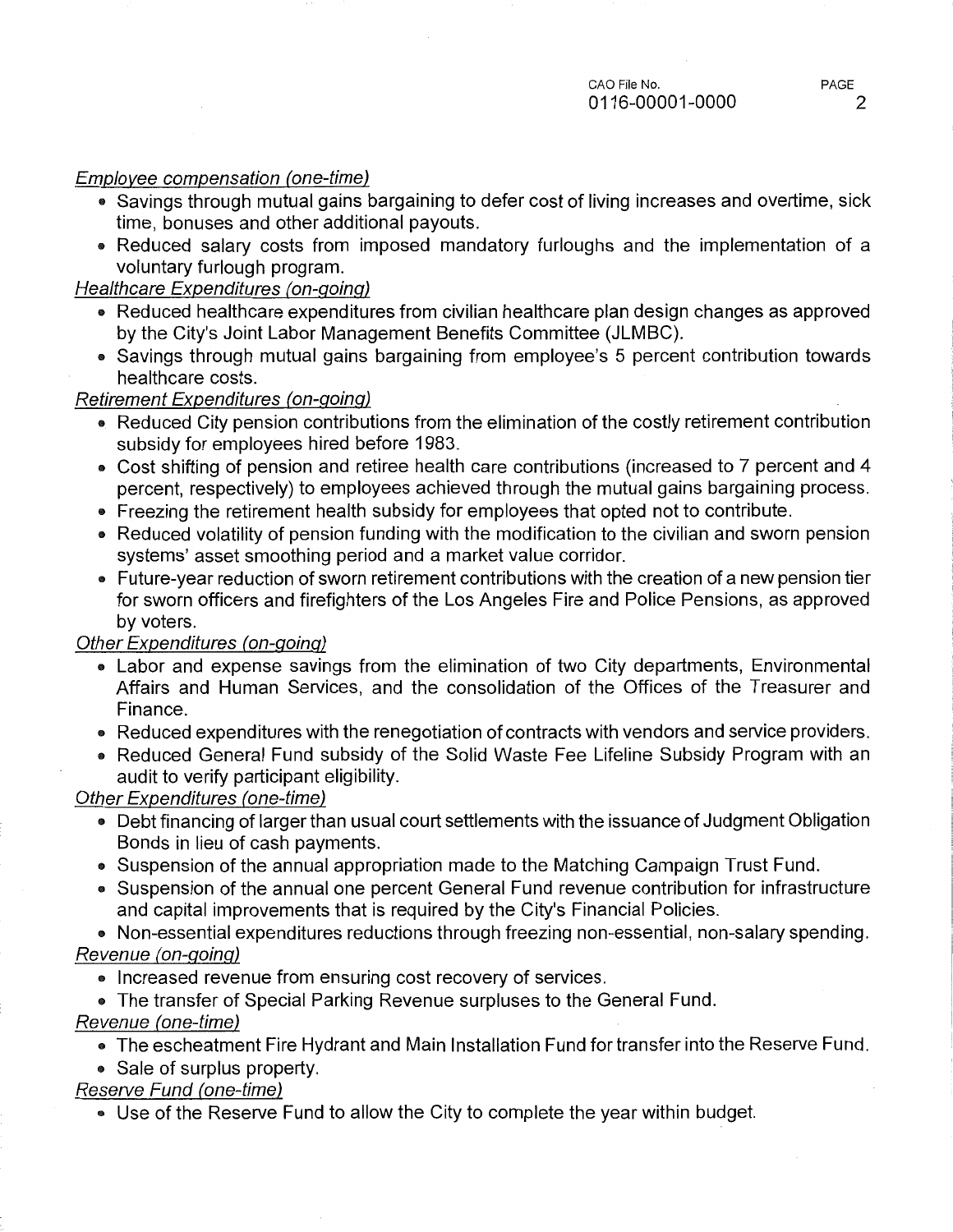## Employee compensation (one-time)

- Savings through mutual gains bargaining to defer cost of living increases and overtime, sick time, bonuses and other additional payouts.
- Reduced salary costs from imposed mandatory furloughs and the implementation of a voluntary furlough program.

# Healthcare Expenditures (on-going)

- Reduced healthcare expenditures from civilian healthcare plan design changes as approved by the City's Joint Labor Management Benefits Committee (JLMBC).
- Savings through mutual gains bargaining from employee's 5 percent contribution towards healthcare costs.

## Retirement Expenditures (on-going)

- Reduced City pension contributions from the elimination of the costly retirement contribution subsidy for employees hired before 1983.
- Cost shifting of pension and retiree health care contributions (increased to 7 percent and 4 percent, respectively) to employees achieved through the mutual gains bargaining process.
- Freezing the retirement health subsidy for employees that opted not to contribute.
- Reduced volatility of pension funding with the modification to the civilian and sworn pension systems' asset smoothing period and a market value corridor.
- Future-year reduction of sworn retirement contributions with the creation of a new pension tier for sworn officers and firefighters of the Los Angeles Fire and Police Pensions, as approved by voters.

## Other Expenditures (on-going)

- Labor and expense savings from the elimination of two City departments, Environmental Affairs and Human Services, and the consolidation of the Offices of the Treasurer and Finance.
- Reduced expenditures with the renegotiation of contracts with vendors and service providers.
- Reduced General Fund subsidy of the Solid Waste Fee Lifeline Subsidy Program with an audit to verify participant eligibility.

## Other Expenditures (one-time)

- Debt financing of larger than usual court settlements with the issuance of Judgment Obligation Bonds in lieu of cash payments.
- Suspension of the annual appropriation made to the Matching Campaign Trust Fund.
- Suspension of the annual one percent General Fund revenue contribution for infrastructure and capital improvements that is required by the City's Financial Policies.
- Non-essential expenditures reductions through freezing non-essential, non-salary spending. Revenue (on-going)
	- Increased revenue from ensuring cost recovery of services.
	- The transfer of Special Parking Revenue surpluses to the General Fund.

# Revenue (one-time)

- The escheatment Fire Hydrant and Main Installation Fund for transfer into the Reserve Fund.
- Sale of surplus property.

# Reserve Fund (one-time)

• Use of the Reserve Fund to allow the City to complete the year within budget.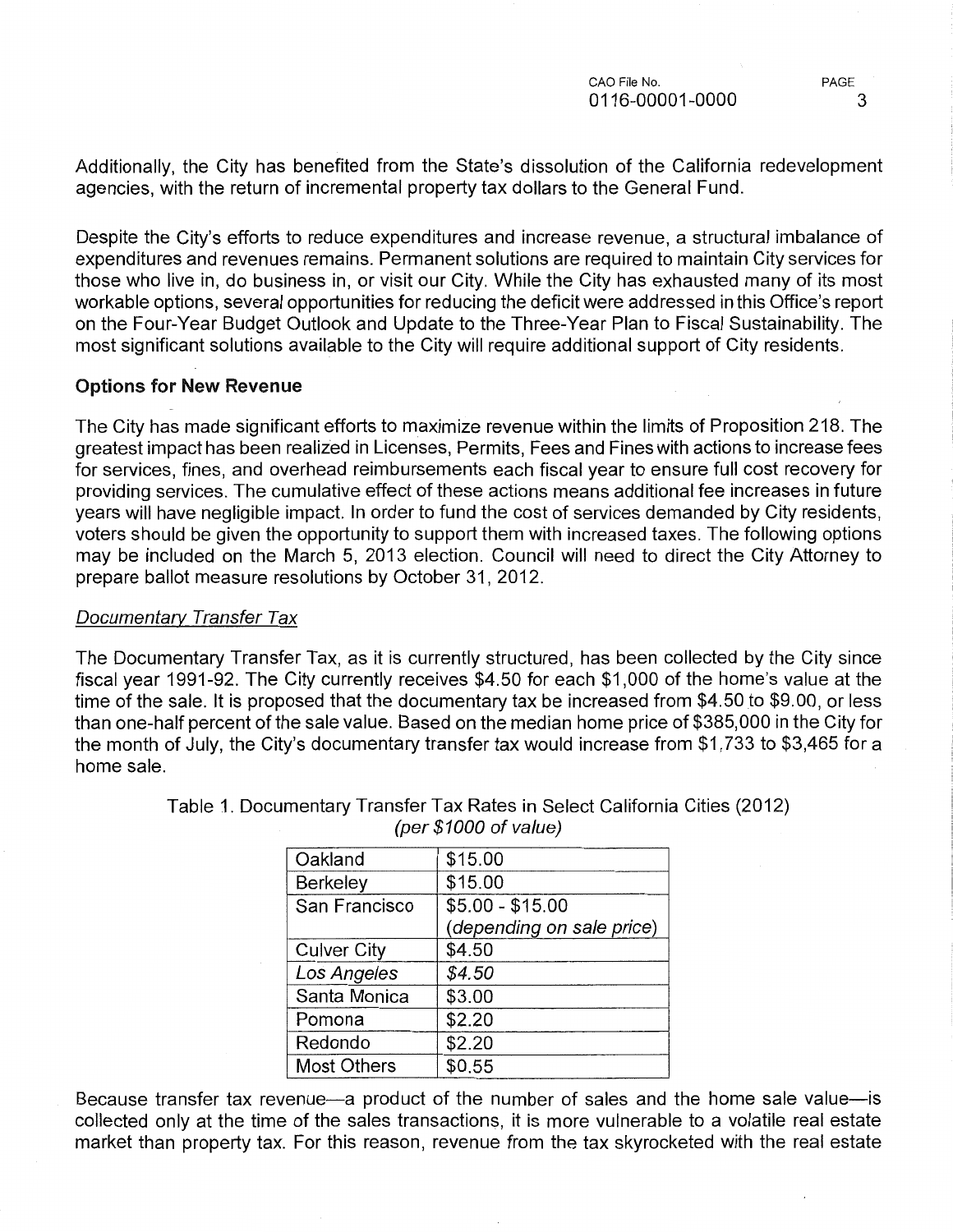Additionally, the City has benefited from the State's dissolution of the California redevelopment agencies, with the return of incremental property tax dollars to the General Fund.

Despite the City's efforts to reduce expenditures and increase revenue, a structural imbalance of expenditures and revenues remains. Permanent solutions are required to maintain City services for those who live in, do business in, or visit our City. While the City has exhausted many of its most workable options, several opportunities for reducing the deficit were addressed in this Office's report on the Four-Year Budget Outlook and Update to the Three-Year Plan to Fiscal Sustainability. The most significant solutions available to the City will require additional support of City residents.

## Options for New Revenue

The City has made significant efforts to maximize revenue within the limits of Proposition 218. The greatest impact has been realized in Licenses, Permits, Fees and Fines with actions to increase fees for services, fines, and overhead reimbursements each fiscal year to ensure full cost recovery for providing services. The cumulative effect of these actions means additional fee increases in future years will have negligible impact. In order to fund the cost of services demanded by City residents, voters should be given the opportunity to support them with increased taxes. The following options may be included on the March 5, 2013 election. Council will need to direct the City Attorney to prepare ballot measure resolutions by October 31, 2012.

### Documentary Transfer Tax

The Documentary Transfer Tax, as it is currently structured, has been collected by the City since fiscal year 1991-92. The City currently receives \$4.50 for each \$1,000 of the home's value at the time of the sale. It is proposed that the documentary tax be increased from \$4.50 to \$9.00, or less than one-half percent of the sale value. Based on the median home price of \$385,000 in the City for the month of July, the City's documentary transfer tax would increase from \$1,733 to \$3,465 for a home sale.

| Oakland            | \$15.00                   |  |
|--------------------|---------------------------|--|
| Berkeley           | \$15.00                   |  |
| San Francisco      | $$5.00 - $15.00$          |  |
|                    | (depending on sale price) |  |
| <b>Culver City</b> | \$4.50                    |  |
| Los Angeles        | \$4.50                    |  |
| Santa Monica       | \$3.00                    |  |
| Pomona             | \$2.20                    |  |
| Redondo            | \$2.20                    |  |
| <b>Most Others</b> | \$0.55                    |  |
|                    |                           |  |

Table 1. Documentary Transfer Tax Rates in Select California Cities (2012) (per \$1000 of value)

Because transfer tax revenue-a product of the number of sales and the home sale value-is collected only at the time of the sales transactions, it is more vulnerable to a volatile real estate market than property tax. For this reason, revenue from the tax skyrocketed with the real estate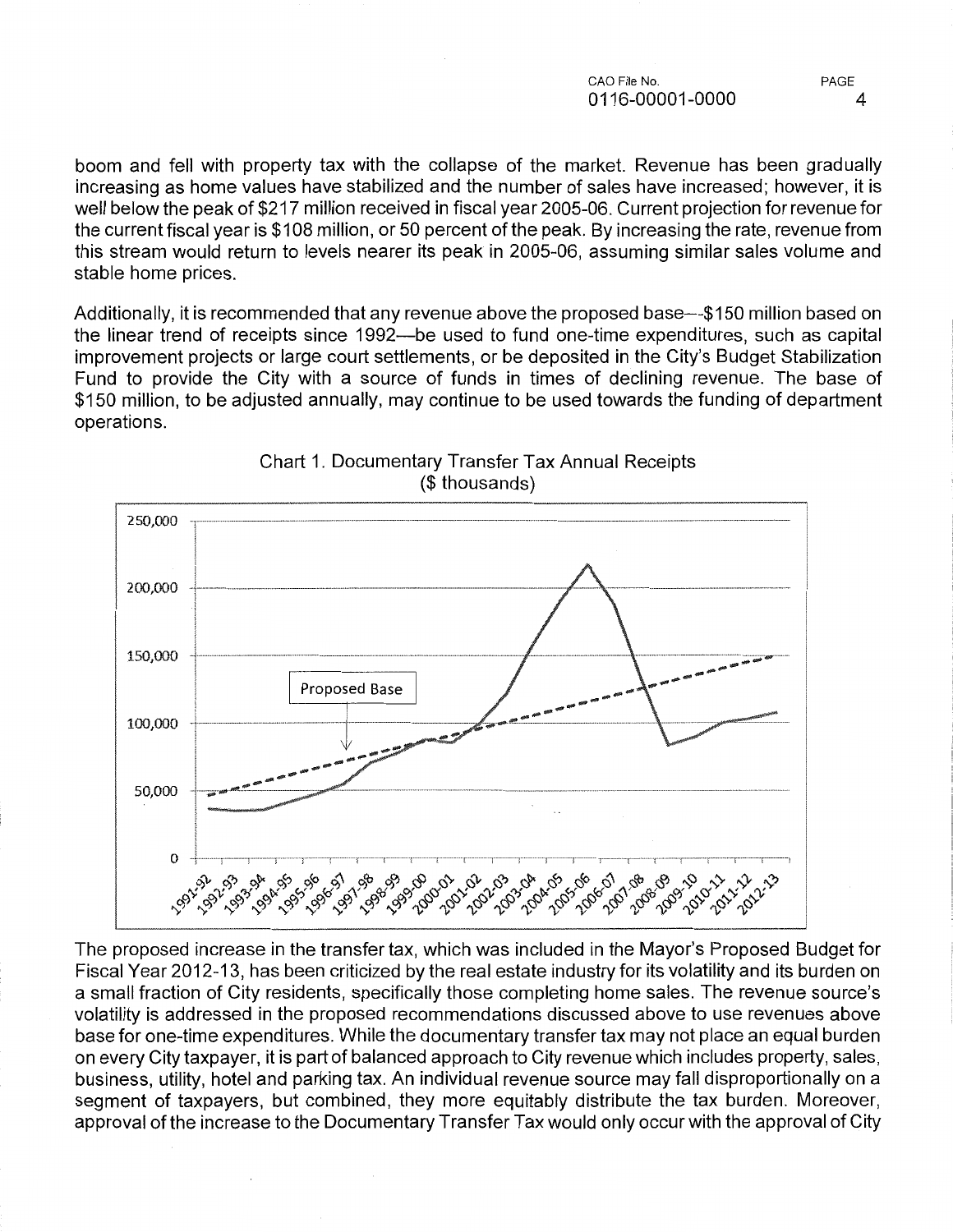boom and fell with property tax with the collapse of the market. Revenue has been gradually increasing as home values have stabilized and the number of sales have increased; however, it is well below the peak of \$217 million received in fiscal year 2005-06. Current projection for revenue for the current fiscal year is \$108 million, or 50 percent of the peak. By increasing the rate, revenue from this stream would return to levels nearer its peak in 2005-06, assuming similar sales volume and stable home prices.

Additionally, it is recommended that any revenue above the proposed base—\$150 million based on the linear trend of receipts since 1992—be used to fund one-time expenditures, such as capital improvement projects or large court settlements, or be deposited in the City's Budget Stabilization Fund to provide the City with a source of funds in times of declining revenue. The base of \$150 million, to be adjusted annually, may continue to be used towards the funding of department operations.



Chart 1. Documentary Transfer Tax Annual Receipts (\$ thousands)

The proposed increase in the transfer tax, which was included in the Mayor's Proposed Budget for Fiscal Year 2012-13, has been criticized by the real estate industry for its volatility and its burden on a small fraction of City residents, specifically those completing home sales. The revenue source's volatility is addressed in the proposed recommendations discussed above to use revenues above base for one-time expenditures. While the documentary transfer tax may not place an equal burden on every City taxpayer, it is part of balanced approach to City revenue which includes property, sales, business, utility, hotel and parking tax. An individual revenue source may fall disproportionally on a segment of taxpayers, but combined, they more equitably distribute the tax burden. Moreover, approval of the increase to the Documentary Transfer Tax would only occur with the approval of City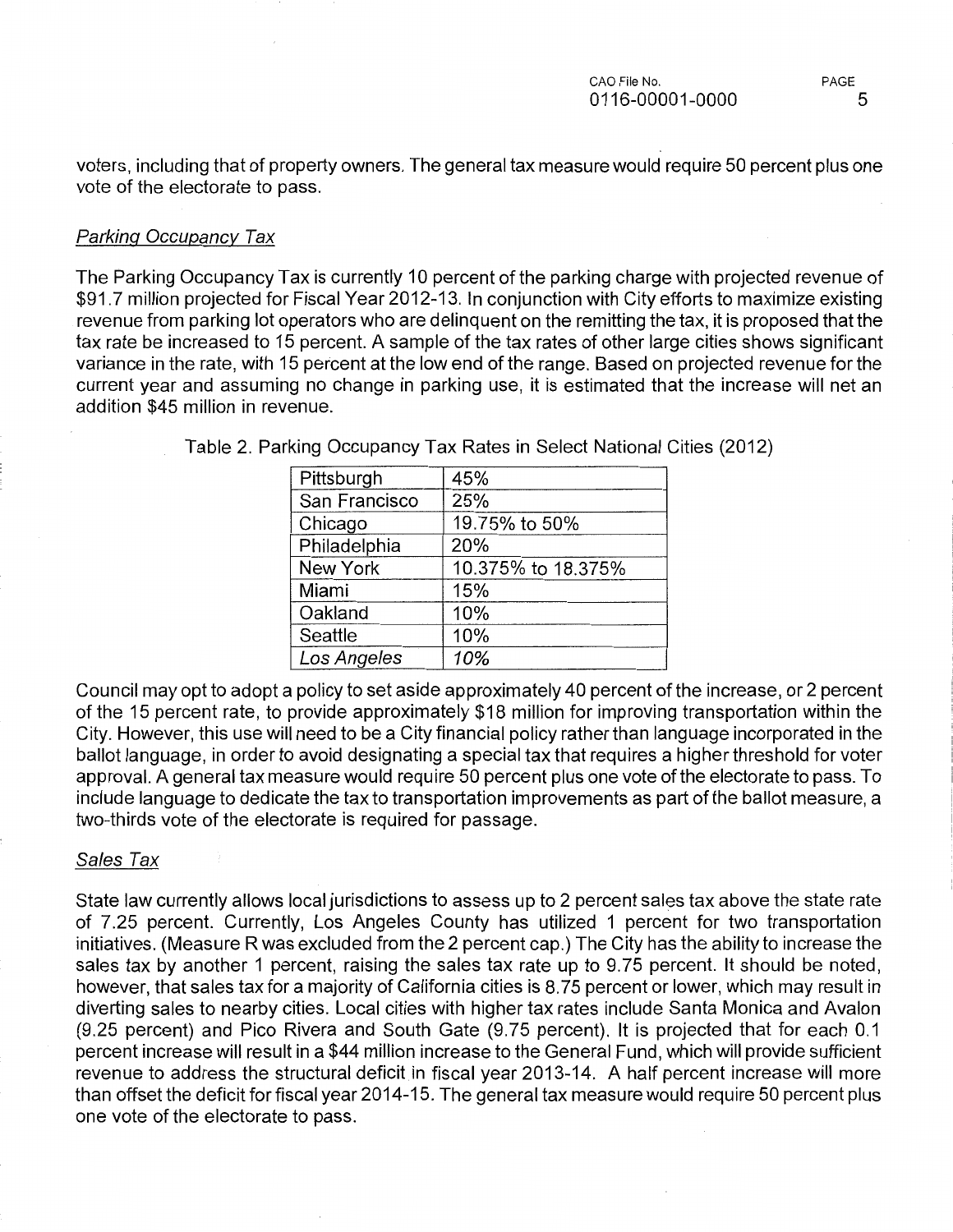voters, including that of property owners. The general tax measure would require 50 percent plus one vote of the electorate to pass.

### Parking Occupancy Tax

The Parking Occupancy Tax is currently 10 percent of the parking charge with projected revenue of \$91.7 million projected for Fiscal Year 2012-13. In conjunction with City efforts to maximize existing revenue from parking lot operators who are delinquent on the remitting the tax, it is proposed that the tax rate be increased to 15 percent. A sample of the tax rates of other large cities shows significant variance in the rate, with 15 percent at the low end of the range. Based on projected revenue for the current year and assuming no change in parking use, it is estimated that the increase will net an addition \$45 million in revenue.

| Pittsburgh      | 45%                |
|-----------------|--------------------|
| San Francisco   | 25%                |
| Chicago         | 19.75% to 50%      |
| Philadelphia    | 20%                |
| <b>New York</b> | 10.375% to 18.375% |
| Miami           | 15%                |
| Oakland         | 10%                |
| Seattle         | 10%                |
| Los Angeles     | 10%                |
|                 |                    |

Table 2. Parking Occupancy Tax Rates in Select National Cities (2012)

Council may opt to adopt a policy to set aside approximately 40 percent of the increase, or 2 percent of the 15 percent rate, to provide approximately \$18 million for improving transportation within the City. However, this use will need to be a City financial policy rather than language incorporated in the ballot language, in order to avoid designating a special tax that requires a higher threshold for voter approval. A general tax measure would require 50 percent plus one vote of the electorate to pass. To include language to dedicate the tax to transportation improvements as part of the ballot measure, a two-thirds vote of the electorate is required for passage.

### Sales Tax

State law currently allows local jurisdictions to assess up to 2 percent sales tax above the state rate of 7.25 percent. Currently, Los Angeles County has utilized 1 percent for two transportation initiatives. (Measure R was excluded from the 2 percent cap.) The City has the ability to increase the sales tax by another 1 percent, raising the sales tax rate up to 9.75 percent. It should be noted, however, that sales tax for a majority of California cities is 8.75 percent or lower, which may result in diverting sales to nearby cities. Local cities with higher tax rates include Santa Monica and Avalon (9.25 percent) and Pico Rivera and South Gate (9.75 percent). It is projected that for each 0.1 percent increase will result in a \$44 million increase to the General Fund, which will provide sufficient revenue to address the structural deficit in fiscal year 2013-14. A half percent increase will more than offset the deficit for fiscal year 2014-15. The general tax measure would require 50 percent plus one vote of the electorate to pass.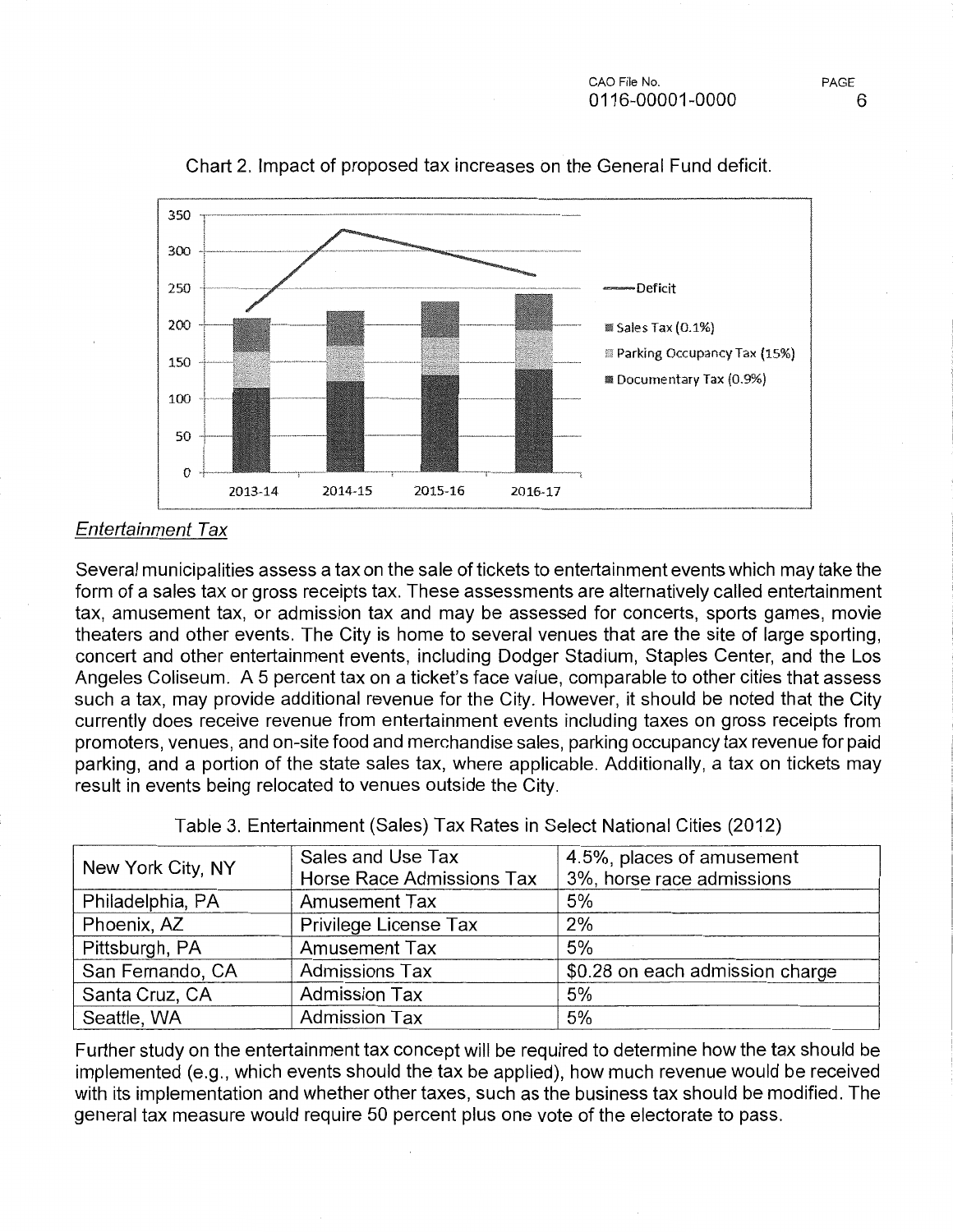

Chart 2. Impact of proposed tax increases on the General Fund deficit

# Entertainment Tax

Several municipalities assess a tax on the sale of tickets to entertainment events which may take the form of a sales tax or gross receipts tax. These assessments are alternatively called entertainment tax, amusement tax, or admission tax and may be assessed for concerts, sports games, movie theaters and other events. The City is home to several venues that are the site of large sporting, concert and other entertainment events, including Dodger Stadium, Staples Center, and the Los Angeles Coliseum. A 5 percent tax on a ticket's face value, comparable to other cities that assess such a tax, may provide additional revenue for the City. However, it should be noted that the City currently does receive revenue from entertainment events including taxes on gross receipts from promoters, venues, and on-site food and merchandise sales, parking occupancy tax revenue for paid parking, and a portion of the state sales tax, where applicable. Additionally, a tax on tickets may result in events being relocated to venues outside the City.

|                   | Sales and Use Tax         | 4.5%, places of amusement       |
|-------------------|---------------------------|---------------------------------|
| New York City, NY | Horse Race Admissions Tax | 3%, horse race admissions       |
| Philadelphia, PA  | <b>Amusement Tax</b>      | 5%                              |
| Phoenix, AZ       | Privilege License Tax     | 2%                              |
| Pittsburgh, PA    | <b>Amusement Tax</b>      | 5%                              |
| San Fernando, CA  | <b>Admissions Tax</b>     | \$0.28 on each admission charge |
| Santa Cruz, CA    | <b>Admission Tax</b>      | 5%                              |
| Seattle, WA       | <b>Admission Tax</b>      | 5%                              |

Table 3. Entertainment (Sales) Tax Rates in Select National Cities (2012)

Further study on the entertainment tax concept will be required to determine how the tax should be implemented (e.g., which events should the tax be applied), how much revenue would be received with its implementation and whether other taxes, such as the business tax should be modified. The general tax measure would require 50 percent plus one vote of the electorate to pass.